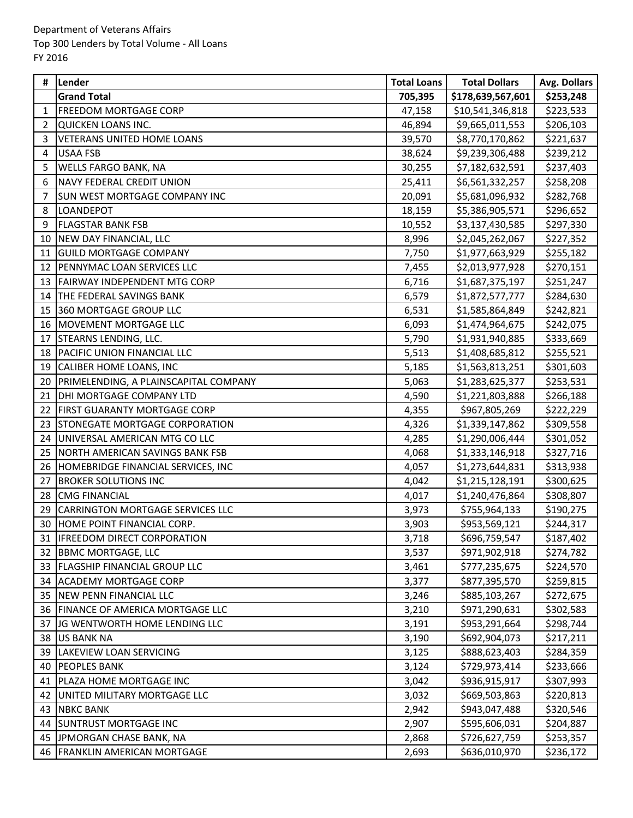| #  | Lender                                  | <b>Total Loans</b> | <b>Total Dollars</b> | Avg. Dollars |
|----|-----------------------------------------|--------------------|----------------------|--------------|
|    | <b>Grand Total</b>                      | 705,395            | \$178,639,567,601    | \$253,248    |
| 1  | <b>FREEDOM MORTGAGE CORP</b>            | 47,158             | \$10,541,346,818     | \$223,533    |
| 2  | QUICKEN LOANS INC.                      | 46,894             | \$9,665,011,553      | \$206,103    |
| 3  | <b>VETERANS UNITED HOME LOANS</b>       | 39,570             | \$8,770,170,862      | \$221,637    |
| 4  | <b>USAA FSB</b>                         | 38,624             | \$9,239,306,488      | \$239,212    |
| 5  | <b>WELLS FARGO BANK, NA</b>             | 30,255             | \$7,182,632,591      | \$237,403    |
| 6  | <b>NAVY FEDERAL CREDIT UNION</b>        | 25,411             | \$6,561,332,257      | \$258,208    |
| 7  | <b>SUN WEST MORTGAGE COMPANY INC</b>    | 20,091             | \$5,681,096,932      | \$282,768    |
| 8  | <b>LOANDEPOT</b>                        | 18,159             | \$5,386,905,571      | \$296,652    |
| 9  | <b>FLAGSTAR BANK FSB</b>                | 10,552             | \$3,137,430,585      | \$297,330    |
| 10 | NEW DAY FINANCIAL, LLC                  | 8,996              | \$2,045,262,067      | \$227,352    |
| 11 | <b>GUILD MORTGAGE COMPANY</b>           | 7,750              | \$1,977,663,929      | \$255,182    |
| 12 | PENNYMAC LOAN SERVICES LLC              | 7,455              | \$2,013,977,928      | \$270,151    |
| 13 | <b>FAIRWAY INDEPENDENT MTG CORP</b>     | 6,716              | \$1,687,375,197      | \$251,247    |
| 14 | THE FEDERAL SAVINGS BANK                | 6,579              | \$1,872,577,777      | \$284,630    |
| 15 | 360 MORTGAGE GROUP LLC                  | 6,531              | \$1,585,864,849      | \$242,821    |
| 16 | MOVEMENT MORTGAGE LLC                   | 6,093              | \$1,474,964,675      | \$242,075    |
| 17 | STEARNS LENDING, LLC.                   | 5,790              | \$1,931,940,885      | \$333,669    |
| 18 | <b>PACIFIC UNION FINANCIAL LLC</b>      | 5,513              | \$1,408,685,812      | \$255,521    |
| 19 | CALIBER HOME LOANS, INC                 | 5,185              | \$1,563,813,251      | \$301,603    |
| 20 | PRIMELENDING, A PLAINSCAPITAL COMPANY   | 5,063              | \$1,283,625,377      | \$253,531    |
| 21 | DHI MORTGAGE COMPANY LTD                | 4,590              | \$1,221,803,888      | \$266,188    |
| 22 | <b>FIRST GUARANTY MORTGAGE CORP</b>     | 4,355              | \$967,805,269        | \$222,229    |
| 23 | <b>STONEGATE MORTGAGE CORPORATION</b>   | 4,326              | \$1,339,147,862      | \$309,558    |
| 24 | UNIVERSAL AMERICAN MTG CO LLC           | 4,285              | \$1,290,006,444      | \$301,052    |
| 25 | NORTH AMERICAN SAVINGS BANK FSB         | 4,068              | \$1,333,146,918      | \$327,716    |
| 26 | HOMEBRIDGE FINANCIAL SERVICES, INC      | 4,057              | \$1,273,644,831      | \$313,938    |
| 27 | <b>BROKER SOLUTIONS INC</b>             | 4,042              | \$1,215,128,191      | \$300,625    |
| 28 | <b>CMG FINANCIAL</b>                    | 4,017              | \$1,240,476,864      | \$308,807    |
| 29 | <b>CARRINGTON MORTGAGE SERVICES LLC</b> | 3,973              | \$755,964,133        | \$190,275    |
| 30 | HOME POINT FINANCIAL CORP.              | 3,903              | \$953,569,121        | \$244,317    |
|    | 31   IFREEDOM DIRECT CORPORATION        | 3,718              | \$696,759,547        | \$187,402    |
| 32 | <b>BBMC MORTGAGE, LLC</b>               | 3,537              | \$971,902,918        | \$274,782    |
|    | 33 FLAGSHIP FINANCIAL GROUP LLC         | 3,461              | \$777,235,675        | \$224,570    |
| 34 | <b>ACADEMY MORTGAGE CORP</b>            | 3,377              | \$877,395,570        | \$259,815    |
|    | 35 NEW PENN FINANCIAL LLC               | 3,246              | \$885,103,267        | \$272,675    |
| 36 | <b>FINANCE OF AMERICA MORTGAGE LLC</b>  | 3,210              | \$971,290,631        | \$302,583    |
| 37 | JG WENTWORTH HOME LENDING LLC           | 3,191              | \$953,291,664        | \$298,744    |
| 38 | <b>US BANK NA</b>                       | 3,190              | \$692,904,073        | \$217,211    |
| 39 | LAKEVIEW LOAN SERVICING                 | 3,125              | \$888,623,403        | \$284,359    |
| 40 | <b>PEOPLES BANK</b>                     | 3,124              | \$729,973,414        | \$233,666    |
| 41 | PLAZA HOME MORTGAGE INC                 | 3,042              | \$936,915,917        | \$307,993    |
| 42 | UNITED MILITARY MORTGAGE LLC            | 3,032              | \$669,503,863        | \$220,813    |
| 43 | <b>NBKC BANK</b>                        | 2,942              | \$943,047,488        | \$320,546    |
| 44 | <b>SUNTRUST MORTGAGE INC</b>            | 2,907              | \$595,606,031        | \$204,887    |
|    | 45 JPMORGAN CHASE BANK, NA              | 2,868              | \$726,627,759        | \$253,357    |
|    | 46 FRANKLIN AMERICAN MORTGAGE           | 2,693              | \$636,010,970        | \$236,172    |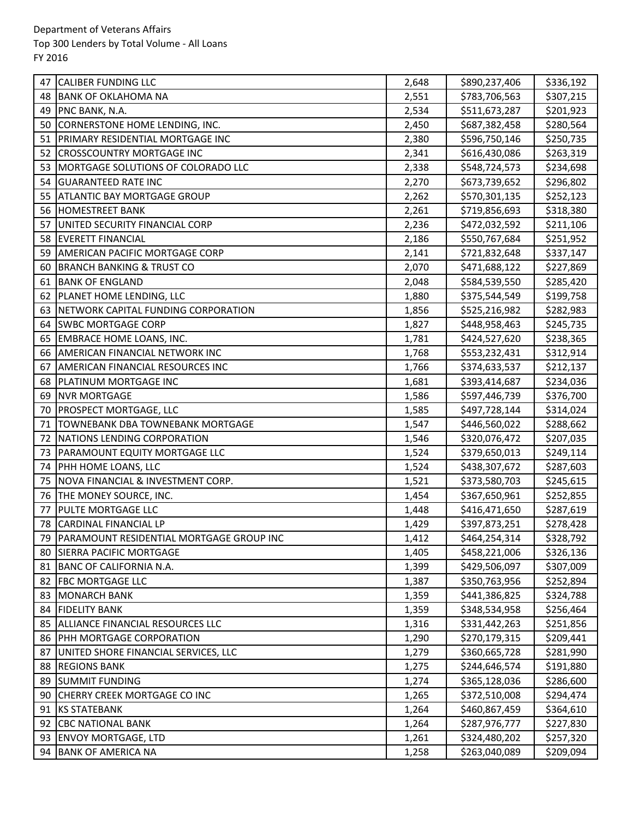| 47 | <b>CALIBER FUNDING LLC</b>                    | 2,648 | \$890,237,406 | \$336,192 |
|----|-----------------------------------------------|-------|---------------|-----------|
| 48 | <b>BANK OF OKLAHOMA NA</b>                    | 2,551 | \$783,706,563 | \$307,215 |
| 49 | PNC BANK, N.A.                                | 2,534 | \$511,673,287 | \$201,923 |
| 50 | CORNERSTONE HOME LENDING, INC.                | 2,450 | \$687,382,458 | \$280,564 |
| 51 | PRIMARY RESIDENTIAL MORTGAGE INC              | 2,380 | \$596,750,146 | \$250,735 |
| 52 | <b>CROSSCOUNTRY MORTGAGE INC</b>              | 2,341 | \$616,430,086 | \$263,319 |
| 53 | MORTGAGE SOLUTIONS OF COLORADO LLC            | 2,338 | \$548,724,573 | \$234,698 |
| 54 | <b>GUARANTEED RATE INC</b>                    | 2,270 | \$673,739,652 | \$296,802 |
| 55 | <b>ATLANTIC BAY MORTGAGE GROUP</b>            | 2,262 | \$570,301,135 | \$252,123 |
| 56 | <b>HOMESTREET BANK</b>                        | 2,261 | \$719,856,693 | \$318,380 |
| 57 | UNITED SECURITY FINANCIAL CORP                | 2,236 | \$472,032,592 | \$211,106 |
| 58 | <b>EVERETT FINANCIAL</b>                      | 2,186 | \$550,767,684 | \$251,952 |
| 59 | <b>AMERICAN PACIFIC MORTGAGE CORP</b>         | 2,141 | \$721,832,648 | \$337,147 |
| 60 | <b>BRANCH BANKING &amp; TRUST CO</b>          | 2,070 | \$471,688,122 | \$227,869 |
| 61 | <b>BANK OF ENGLAND</b>                        | 2,048 | \$584,539,550 | \$285,420 |
| 62 | PLANET HOME LENDING, LLC                      | 1,880 | \$375,544,549 | \$199,758 |
| 63 | NETWORK CAPITAL FUNDING CORPORATION           | 1,856 | \$525,216,982 | \$282,983 |
| 64 | <b>SWBC MORTGAGE CORP</b>                     | 1,827 | \$448,958,463 | \$245,735 |
| 65 | <b>EMBRACE HOME LOANS, INC.</b>               | 1,781 | \$424,527,620 | \$238,365 |
| 66 | AMERICAN FINANCIAL NETWORK INC                | 1,768 | \$553,232,431 | \$312,914 |
| 67 | AMERICAN FINANCIAL RESOURCES INC              | 1,766 | \$374,633,537 | \$212,137 |
| 68 | PLATINUM MORTGAGE INC                         | 1,681 | \$393,414,687 | \$234,036 |
| 69 | <b>NVR MORTGAGE</b>                           | 1,586 | \$597,446,739 | \$376,700 |
| 70 | <b>PROSPECT MORTGAGE, LLC</b>                 | 1,585 | \$497,728,144 | \$314,024 |
| 71 | TOWNEBANK DBA TOWNEBANK MORTGAGE              | 1,547 | \$446,560,022 | \$288,662 |
| 72 | NATIONS LENDING CORPORATION                   | 1,546 | \$320,076,472 | \$207,035 |
| 73 | PARAMOUNT EQUITY MORTGAGE LLC                 | 1,524 | \$379,650,013 | \$249,114 |
| 74 | PHH HOME LOANS, LLC                           | 1,524 | \$438,307,672 | \$287,603 |
| 75 | NOVA FINANCIAL & INVESTMENT CORP.             | 1,521 | \$373,580,703 | \$245,615 |
| 76 | THE MONEY SOURCE, INC.                        | 1,454 | \$367,650,961 | \$252,855 |
| 77 | PULTE MORTGAGE LLC                            | 1,448 | \$416,471,650 | \$287,619 |
| 78 | <b>CARDINAL FINANCIAL LP</b>                  | 1,429 | \$397,873,251 | \$278,428 |
|    | 79   PARAMOUNT RESIDENTIAL MORTGAGE GROUP INC | 1,412 | \$464,254,314 | \$328,792 |
| 80 | <b>SIERRA PACIFIC MORTGAGE</b>                | 1,405 | \$458,221,006 | \$326,136 |
| 81 | BANC OF CALIFORNIA N.A.                       | 1,399 | \$429,506,097 | \$307,009 |
| 82 | <b>FBC MORTGAGE LLC</b>                       | 1,387 | \$350,763,956 | \$252,894 |
| 83 | <b>MONARCH BANK</b>                           | 1,359 | \$441,386,825 | \$324,788 |
| 84 | <b>FIDELITY BANK</b>                          | 1,359 | \$348,534,958 | \$256,464 |
| 85 | ALLIANCE FINANCIAL RESOURCES LLC              | 1,316 | \$331,442,263 | \$251,856 |
| 86 | <b>PHH MORTGAGE CORPORATION</b>               | 1,290 | \$270,179,315 | \$209,441 |
| 87 | UNITED SHORE FINANCIAL SERVICES, LLC          | 1,279 | \$360,665,728 | \$281,990 |
| 88 | <b>REGIONS BANK</b>                           | 1,275 | \$244,646,574 | \$191,880 |
| 89 | <b>SUMMIT FUNDING</b>                         | 1,274 | \$365,128,036 | \$286,600 |
| 90 | CHERRY CREEK MORTGAGE CO INC                  | 1,265 | \$372,510,008 | \$294,474 |
| 91 | <b>KS STATEBANK</b>                           | 1,264 | \$460,867,459 | \$364,610 |
| 92 | <b>CBC NATIONAL BANK</b>                      | 1,264 | \$287,976,777 | \$227,830 |
| 93 | <b>ENVOY MORTGAGE, LTD</b>                    | 1,261 | \$324,480,202 | \$257,320 |
| 94 | <b>BANK OF AMERICA NA</b>                     | 1,258 | \$263,040,089 | \$209,094 |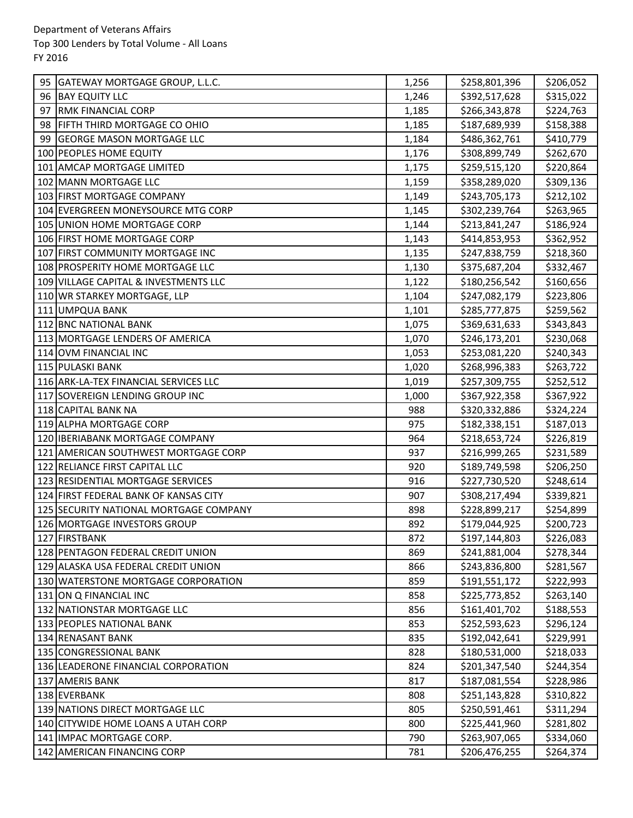| 95 | GATEWAY MORTGAGE GROUP, L.L.C.         | 1,256 | \$258,801,396 | \$206,052 |
|----|----------------------------------------|-------|---------------|-----------|
| 96 | <b>BAY EQUITY LLC</b>                  | 1,246 | \$392,517,628 | \$315,022 |
| 97 | <b>RMK FINANCIAL CORP</b>              | 1,185 | \$266,343,878 | \$224,763 |
| 98 | <b>FIFTH THIRD MORTGAGE CO OHIO</b>    | 1,185 | \$187,689,939 | \$158,388 |
| 99 | <b>GEORGE MASON MORTGAGE LLC</b>       | 1,184 | \$486,362,761 | \$410,779 |
|    | 100 PEOPLES HOME EQUITY                | 1,176 | \$308,899,749 | \$262,670 |
|    | 101 AMCAP MORTGAGE LIMITED             | 1,175 | \$259,515,120 | \$220,864 |
|    | 102 MANN MORTGAGE LLC                  | 1,159 | \$358,289,020 | \$309,136 |
|    | 103 FIRST MORTGAGE COMPANY             | 1,149 | \$243,705,173 | \$212,102 |
|    | 104 EVERGREEN MONEYSOURCE MTG CORP     | 1,145 | \$302,239,764 | \$263,965 |
|    | 105 UNION HOME MORTGAGE CORP           | 1,144 | \$213,841,247 | \$186,924 |
|    | 106 FIRST HOME MORTGAGE CORP           | 1,143 | \$414,853,953 | \$362,952 |
|    | 107 FIRST COMMUNITY MORTGAGE INC       | 1,135 | \$247,838,759 | \$218,360 |
|    | 108 PROSPERITY HOME MORTGAGE LLC       | 1,130 | \$375,687,204 | \$332,467 |
|    | 109 VILLAGE CAPITAL & INVESTMENTS LLC  | 1,122 | \$180,256,542 | \$160,656 |
|    | 110 WR STARKEY MORTGAGE, LLP           | 1,104 | \$247,082,179 | \$223,806 |
|    | 111 UMPQUA BANK                        | 1,101 | \$285,777,875 | \$259,562 |
|    | 112 BNC NATIONAL BANK                  | 1,075 | \$369,631,633 | \$343,843 |
|    | 113 MORTGAGE LENDERS OF AMERICA        | 1,070 | \$246,173,201 | \$230,068 |
|    | 114 OVM FINANCIAL INC                  | 1,053 | \$253,081,220 | \$240,343 |
|    | 115 PULASKI BANK                       | 1,020 | \$268,996,383 | \$263,722 |
|    | 116 ARK-LA-TEX FINANCIAL SERVICES LLC  | 1,019 | \$257,309,755 | \$252,512 |
|    | 117 SOVEREIGN LENDING GROUP INC        | 1,000 | \$367,922,358 | \$367,922 |
|    | 118 CAPITAL BANK NA                    | 988   | \$320,332,886 | \$324,224 |
|    | 119 ALPHA MORTGAGE CORP                | 975   | \$182,338,151 | \$187,013 |
|    | 120 IBERIABANK MORTGAGE COMPANY        | 964   | \$218,653,724 | \$226,819 |
|    | 121 AMERICAN SOUTHWEST MORTGAGE CORP   | 937   | \$216,999,265 | \$231,589 |
|    | 122 RELIANCE FIRST CAPITAL LLC         | 920   | \$189,749,598 | \$206,250 |
|    | 123 RESIDENTIAL MORTGAGE SERVICES      | 916   | \$227,730,520 | \$248,614 |
|    | 124 FIRST FEDERAL BANK OF KANSAS CITY  | 907   | \$308,217,494 | \$339,821 |
|    | 125 SECURITY NATIONAL MORTGAGE COMPANY | 898   | \$228,899,217 | \$254,899 |
|    | 126 MORTGAGE INVESTORS GROUP           | 892   | \$179,044,925 | \$200,723 |
|    | 127 FIRSTBANK                          | 872   | \$197,144,803 | \$226,083 |
|    | 128 PENTAGON FEDERAL CREDIT UNION      | 869   | \$241,881,004 | \$278,344 |
|    | 129 ALASKA USA FEDERAL CREDIT UNION    | 866   | \$243,836,800 | \$281,567 |
|    | 130 WATERSTONE MORTGAGE CORPORATION    | 859   | \$191,551,172 | \$222,993 |
|    | 131 ON Q FINANCIAL INC                 | 858   | \$225,773,852 | \$263,140 |
|    | 132 NATIONSTAR MORTGAGE LLC            | 856   | \$161,401,702 | \$188,553 |
|    | 133 PEOPLES NATIONAL BANK              | 853   | \$252,593,623 | \$296,124 |
|    | 134 RENASANT BANK                      | 835   | \$192,042,641 | \$229,991 |
|    | 135 CONGRESSIONAL BANK                 | 828   | \$180,531,000 | \$218,033 |
|    | 136 LEADERONE FINANCIAL CORPORATION    | 824   | \$201,347,540 | \$244,354 |
|    | 137 AMERIS BANK                        | 817   | \$187,081,554 | \$228,986 |
|    | 138 EVERBANK                           | 808   | \$251,143,828 | \$310,822 |
|    | 139 NATIONS DIRECT MORTGAGE LLC        | 805   | \$250,591,461 | \$311,294 |
|    | 140 CITYWIDE HOME LOANS A UTAH CORP    | 800   | \$225,441,960 | \$281,802 |
|    | 141 IMPAC MORTGAGE CORP.               | 790   | \$263,907,065 | \$334,060 |
|    | 142 AMERICAN FINANCING CORP            | 781   | \$206,476,255 | \$264,374 |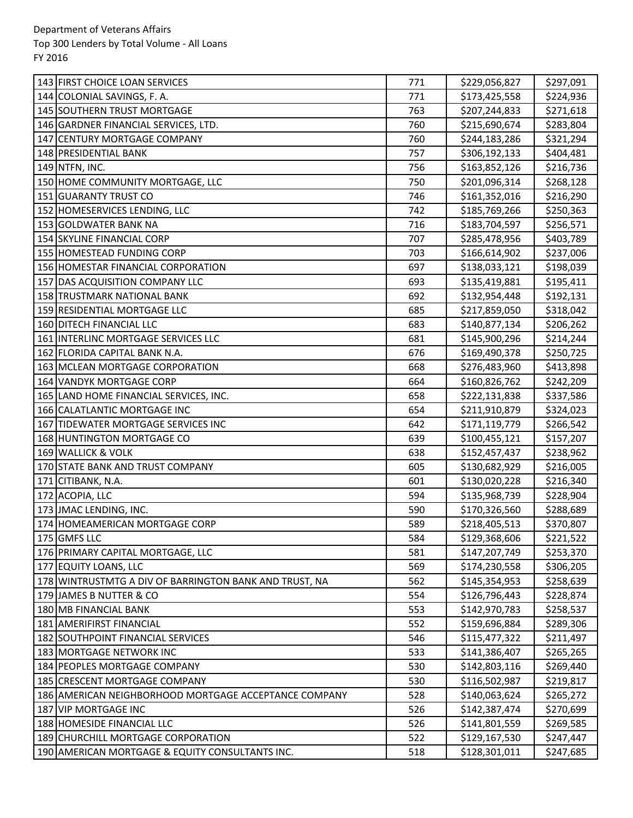| 143 FIRST CHOICE LOAN SERVICES                         | 771 | \$229,056,827 | \$297,091 |
|--------------------------------------------------------|-----|---------------|-----------|
| 144 COLONIAL SAVINGS, F. A.                            | 771 | \$173,425,558 | \$224,936 |
| 145 SOUTHERN TRUST MORTGAGE                            | 763 | \$207,244,833 | \$271,618 |
| 146 GARDNER FINANCIAL SERVICES, LTD.                   | 760 | \$215,690,674 | \$283,804 |
| 147 CENTURY MORTGAGE COMPANY                           | 760 | \$244,183,286 | \$321,294 |
| 148 PRESIDENTIAL BANK                                  | 757 | \$306,192,133 | \$404,481 |
| 149 NTFN, INC.                                         | 756 | \$163,852,126 | \$216,736 |
| 150 HOME COMMUNITY MORTGAGE, LLC                       | 750 | \$201,096,314 | \$268,128 |
| 151 GUARANTY TRUST CO                                  | 746 | \$161,352,016 | \$216,290 |
| 152 HOMESERVICES LENDING, LLC                          | 742 | \$185,769,266 | \$250,363 |
| 153 GOLDWATER BANK NA                                  | 716 | \$183,704,597 | \$256,571 |
| 154 SKYLINE FINANCIAL CORP                             | 707 | \$285,478,956 | \$403,789 |
| 155 HOMESTEAD FUNDING CORP                             | 703 | \$166,614,902 | \$237,006 |
| 156 HOMESTAR FINANCIAL CORPORATION                     | 697 | \$138,033,121 | \$198,039 |
| 157 DAS ACQUISITION COMPANY LLC                        | 693 | \$135,419,881 | \$195,411 |
| <b>158 TRUSTMARK NATIONAL BANK</b>                     | 692 | \$132,954,448 | \$192,131 |
| 159 RESIDENTIAL MORTGAGE LLC                           | 685 | \$217,859,050 | \$318,042 |
| 160 DITECH FINANCIAL LLC                               | 683 | \$140,877,134 | \$206,262 |
| 161 INTERLINC MORTGAGE SERVICES LLC                    | 681 | \$145,900,296 | \$214,244 |
| 162 FLORIDA CAPITAL BANK N.A.                          | 676 | \$169,490,378 | \$250,725 |
| 163 MCLEAN MORTGAGE CORPORATION                        | 668 | \$276,483,960 | \$413,898 |
| 164 VANDYK MORTGAGE CORP                               | 664 | \$160,826,762 | \$242,209 |
| 165 LAND HOME FINANCIAL SERVICES, INC.                 | 658 | \$222,131,838 | \$337,586 |
| 166 CALATLANTIC MORTGAGE INC                           | 654 | \$211,910,879 | \$324,023 |
| 167 TIDEWATER MORTGAGE SERVICES INC                    | 642 | \$171,119,779 | \$266,542 |
| 168 HUNTINGTON MORTGAGE CO                             | 639 | \$100,455,121 | \$157,207 |
| 169 WALLICK & VOLK                                     | 638 | \$152,457,437 | \$238,962 |
| 170 STATE BANK AND TRUST COMPANY                       | 605 | \$130,682,929 | \$216,005 |
| 171 CITIBANK, N.A.                                     | 601 | \$130,020,228 | \$216,340 |
| 172 ACOPIA, LLC                                        | 594 | \$135,968,739 | \$228,904 |
| 173 JMAC LENDING, INC.                                 | 590 | \$170,326,560 | \$288,689 |
| 174 HOMEAMERICAN MORTGAGE CORP                         | 589 | \$218,405,513 | \$370,807 |
| 175 GMFS LLC                                           | 584 | \$129,368,606 | \$221,522 |
| 176 PRIMARY CAPITAL MORTGAGE, LLC                      | 581 | \$147,207,749 | \$253,370 |
| 177 EQUITY LOANS, LLC                                  | 569 | \$174,230,558 | \$306,205 |
| 178 WINTRUSTMTG A DIV OF BARRINGTON BANK AND TRUST, NA | 562 | \$145,354,953 | \$258,639 |
| 179 JAMES B NUTTER & CO                                | 554 | \$126,796,443 | \$228,874 |
| 180 MB FINANCIAL BANK                                  | 553 | \$142,970,783 | \$258,537 |
| 181 AMERIFIRST FINANCIAL                               | 552 | \$159,696,884 | \$289,306 |
| 182 SOUTHPOINT FINANCIAL SERVICES                      | 546 | \$115,477,322 | \$211,497 |
| 183 MORTGAGE NETWORK INC                               | 533 | \$141,386,407 | \$265,265 |
| 184 PEOPLES MORTGAGE COMPANY                           | 530 | \$142,803,116 | \$269,440 |
| 185 CRESCENT MORTGAGE COMPANY                          | 530 | \$116,502,987 | \$219,817 |
| 186 AMERICAN NEIGHBORHOOD MORTGAGE ACCEPTANCE COMPANY  | 528 | \$140,063,624 | \$265,272 |
| 187 VIP MORTGAGE INC                                   | 526 | \$142,387,474 | \$270,699 |
| 188 HOMESIDE FINANCIAL LLC                             | 526 | \$141,801,559 | \$269,585 |
| 189 CHURCHILL MORTGAGE CORPORATION                     | 522 | \$129,167,530 | \$247,447 |
| 190 AMERICAN MORTGAGE & EQUITY CONSULTANTS INC.        | 518 | \$128,301,011 | \$247,685 |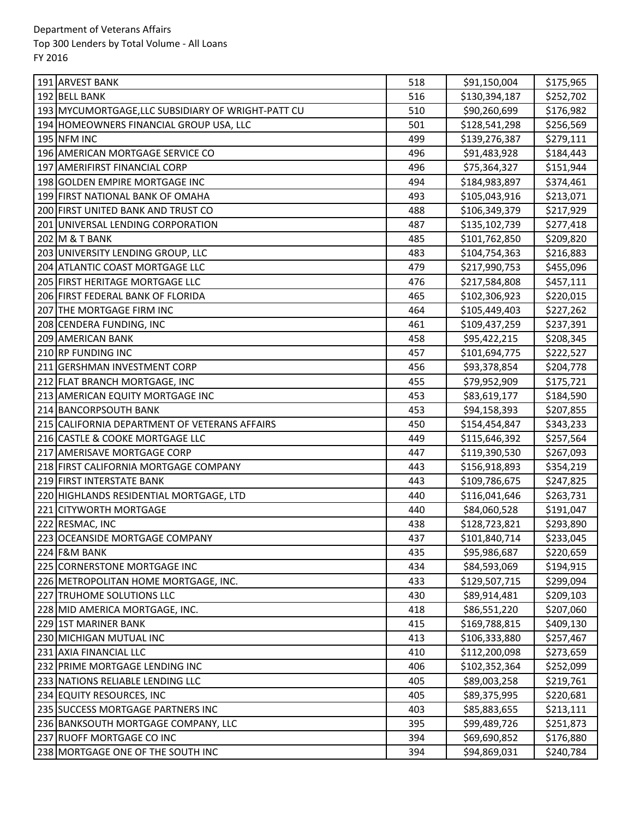| 191 ARVEST BANK                                    | 518 | \$91,150,004  | \$175,965 |
|----------------------------------------------------|-----|---------------|-----------|
| 192 BELL BANK                                      | 516 | \$130,394,187 | \$252,702 |
| 193 MYCUMORTGAGE, LLC SUBSIDIARY OF WRIGHT-PATT CU | 510 | \$90,260,699  | \$176,982 |
| 194 HOMEOWNERS FINANCIAL GROUP USA, LLC            | 501 | \$128,541,298 | \$256,569 |
| <b>195 NFM INC</b>                                 | 499 | \$139,276,387 | \$279,111 |
| 196 AMERICAN MORTGAGE SERVICE CO                   | 496 | \$91,483,928  | \$184,443 |
| 197 AMERIFIRST FINANCIAL CORP                      | 496 | \$75,364,327  | \$151,944 |
| 198 GOLDEN EMPIRE MORTGAGE INC                     | 494 | \$184,983,897 | \$374,461 |
| 199 FIRST NATIONAL BANK OF OMAHA                   | 493 | \$105,043,916 | \$213,071 |
| 200 FIRST UNITED BANK AND TRUST CO                 | 488 | \$106,349,379 | \$217,929 |
| 201 UNIVERSAL LENDING CORPORATION                  | 487 | \$135,102,739 | \$277,418 |
| 202 M & T BANK                                     | 485 | \$101,762,850 | \$209,820 |
| 203 UNIVERSITY LENDING GROUP, LLC                  | 483 | \$104,754,363 | \$216,883 |
| 204 ATLANTIC COAST MORTGAGE LLC                    | 479 | \$217,990,753 | \$455,096 |
| 205 FIRST HERITAGE MORTGAGE LLC                    | 476 | \$217,584,808 | \$457,111 |
| 206 FIRST FEDERAL BANK OF FLORIDA                  | 465 | \$102,306,923 | \$220,015 |
| 207 THE MORTGAGE FIRM INC                          | 464 | \$105,449,403 | \$227,262 |
| 208 CENDERA FUNDING, INC                           | 461 | \$109,437,259 | \$237,391 |
| 209 AMERICAN BANK                                  | 458 | \$95,422,215  | \$208,345 |
| 210 RP FUNDING INC                                 | 457 | \$101,694,775 | \$222,527 |
| 211 GERSHMAN INVESTMENT CORP                       | 456 | \$93,378,854  | \$204,778 |
| 212 FLAT BRANCH MORTGAGE, INC                      | 455 | \$79,952,909  | \$175,721 |
| 213 AMERICAN EQUITY MORTGAGE INC                   | 453 | \$83,619,177  | \$184,590 |
| 214 BANCORPSOUTH BANK                              | 453 | \$94,158,393  | \$207,855 |
| 215 CALIFORNIA DEPARTMENT OF VETERANS AFFAIRS      | 450 | \$154,454,847 | \$343,233 |
| 216 CASTLE & COOKE MORTGAGE LLC                    | 449 | \$115,646,392 | \$257,564 |
| 217 AMERISAVE MORTGAGE CORP                        | 447 | \$119,390,530 | \$267,093 |
| 218 FIRST CALIFORNIA MORTGAGE COMPANY              | 443 | \$156,918,893 | \$354,219 |
| 219 FIRST INTERSTATE BANK                          | 443 | \$109,786,675 | \$247,825 |
| 220 HIGHLANDS RESIDENTIAL MORTGAGE, LTD            | 440 | \$116,041,646 | \$263,731 |
| 221 CITYWORTH MORTGAGE                             | 440 | \$84,060,528  | \$191,047 |
| 222 RESMAC, INC                                    | 438 | \$128,723,821 | \$293,890 |
| 223 OCEANSIDE MORTGAGE COMPANY                     | 437 | \$101,840,714 | \$233,045 |
| 224 F&M BANK                                       | 435 | \$95,986,687  | \$220,659 |
| 225 CORNERSTONE MORTGAGE INC                       | 434 | \$84,593,069  | \$194,915 |
| 226 METROPOLITAN HOME MORTGAGE, INC.               | 433 | \$129,507,715 | \$299,094 |
| 227 TRUHOME SOLUTIONS LLC                          | 430 | \$89,914,481  | \$209,103 |
| 228 MID AMERICA MORTGAGE, INC.                     | 418 | \$86,551,220  | \$207,060 |
| 229 1ST MARINER BANK                               | 415 | \$169,788,815 | \$409,130 |
| 230 MICHIGAN MUTUAL INC                            | 413 | \$106,333,880 | \$257,467 |
| 231 AXIA FINANCIAL LLC                             | 410 | \$112,200,098 | \$273,659 |
| 232 PRIME MORTGAGE LENDING INC                     | 406 | \$102,352,364 | \$252,099 |
| 233 NATIONS RELIABLE LENDING LLC                   | 405 | \$89,003,258  | \$219,761 |
| 234 EQUITY RESOURCES, INC                          | 405 | \$89,375,995  | \$220,681 |
| 235 SUCCESS MORTGAGE PARTNERS INC                  | 403 | \$85,883,655  | \$213,111 |
| 236 BANKSOUTH MORTGAGE COMPANY, LLC                | 395 | \$99,489,726  | \$251,873 |
| 237 RUOFF MORTGAGE CO INC                          | 394 | \$69,690,852  | \$176,880 |
| 238 MORTGAGE ONE OF THE SOUTH INC                  | 394 | \$94,869,031  | \$240,784 |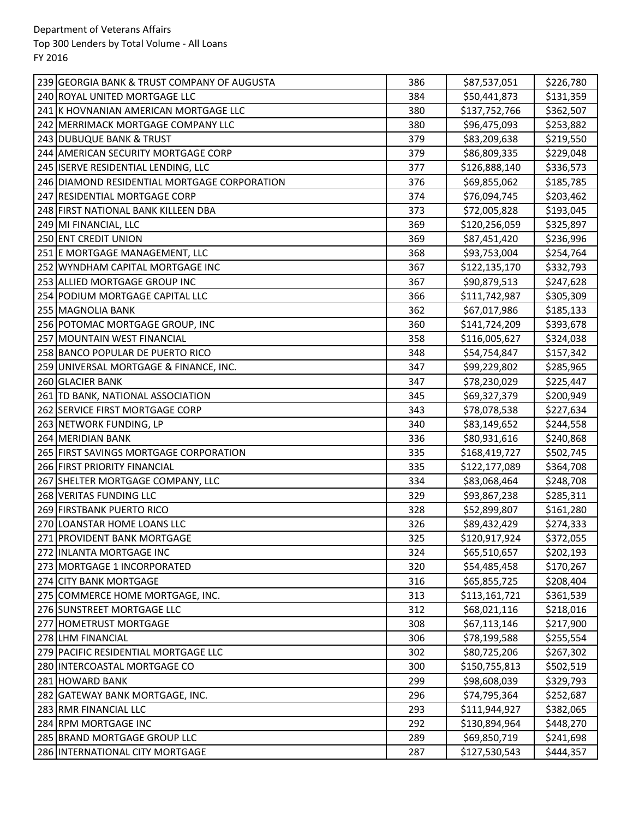| 239 GEORGIA BANK & TRUST COMPANY OF AUGUSTA  | 386 | \$87,537,051  | \$226,780 |
|----------------------------------------------|-----|---------------|-----------|
| 240 ROYAL UNITED MORTGAGE LLC                | 384 | \$50,441,873  | \$131,359 |
| 241 K HOVNANIAN AMERICAN MORTGAGE LLC        | 380 | \$137,752,766 | \$362,507 |
| 242 MERRIMACK MORTGAGE COMPANY LLC           | 380 | \$96,475,093  | \$253,882 |
| 243 DUBUQUE BANK & TRUST                     | 379 | \$83,209,638  | \$219,550 |
| 244 AMERICAN SECURITY MORTGAGE CORP          | 379 | \$86,809,335  | \$229,048 |
| 245 ISERVE RESIDENTIAL LENDING, LLC          | 377 | \$126,888,140 | \$336,573 |
| 246 DIAMOND RESIDENTIAL MORTGAGE CORPORATION | 376 | \$69,855,062  | \$185,785 |
| 247 RESIDENTIAL MORTGAGE CORP                | 374 | \$76,094,745  | \$203,462 |
| 248 FIRST NATIONAL BANK KILLEEN DBA          | 373 | \$72,005,828  | \$193,045 |
| 249 MI FINANCIAL, LLC                        | 369 | \$120,256,059 | \$325,897 |
| 250 ENT CREDIT UNION                         | 369 | \$87,451,420  | \$236,996 |
| 251 E MORTGAGE MANAGEMENT, LLC               | 368 | \$93,753,004  | \$254,764 |
| 252 WYNDHAM CAPITAL MORTGAGE INC             | 367 | \$122,135,170 | \$332,793 |
| 253 ALLIED MORTGAGE GROUP INC                | 367 | \$90,879,513  | \$247,628 |
| 254 PODIUM MORTGAGE CAPITAL LLC              | 366 | \$111,742,987 | \$305,309 |
| 255 MAGNOLIA BANK                            | 362 | \$67,017,986  | \$185,133 |
| 256 POTOMAC MORTGAGE GROUP, INC              | 360 | \$141,724,209 | \$393,678 |
| 257 MOUNTAIN WEST FINANCIAL                  | 358 | \$116,005,627 | \$324,038 |
| 258 BANCO POPULAR DE PUERTO RICO             | 348 | \$54,754,847  | \$157,342 |
| 259 UNIVERSAL MORTGAGE & FINANCE, INC.       | 347 | \$99,229,802  | \$285,965 |
| 260 GLACIER BANK                             | 347 | \$78,230,029  | \$225,447 |
| 261 TD BANK, NATIONAL ASSOCIATION            | 345 | \$69,327,379  | \$200,949 |
| 262 SERVICE FIRST MORTGAGE CORP              | 343 | \$78,078,538  | \$227,634 |
| 263 NETWORK FUNDING, LP                      | 340 | \$83,149,652  | \$244,558 |
| 264 MERIDIAN BANK                            | 336 | \$80,931,616  | \$240,868 |
| 265 FIRST SAVINGS MORTGAGE CORPORATION       | 335 | \$168,419,727 | \$502,745 |
| 266 FIRST PRIORITY FINANCIAL                 | 335 | \$122,177,089 | \$364,708 |
| 267 SHELTER MORTGAGE COMPANY, LLC            | 334 | \$83,068,464  | \$248,708 |
| 268 VERITAS FUNDING LLC                      | 329 | \$93,867,238  | \$285,311 |
| 269 FIRSTBANK PUERTO RICO                    | 328 | \$52,899,807  | \$161,280 |
| 270 LOANSTAR HOME LOANS LLC                  | 326 | \$89,432,429  | \$274,333 |
| 271 PROVIDENT BANK MORTGAGE                  | 325 | \$120,917,924 | \$372,055 |
| 272 INLANTA MORTGAGE INC                     | 324 | \$65,510,657  | \$202,193 |
| 273 MORTGAGE 1 INCORPORATED                  | 320 | \$54,485,458  | \$170,267 |
| 274 CITY BANK MORTGAGE                       | 316 | \$65,855,725  | \$208,404 |
| 275 COMMERCE HOME MORTGAGE, INC.             | 313 | \$113,161,721 | \$361,539 |
| 276 SUNSTREET MORTGAGE LLC                   | 312 | \$68,021,116  | \$218,016 |
| 277 HOMETRUST MORTGAGE                       | 308 | \$67,113,146  | \$217,900 |
| 278 LHM FINANCIAL                            | 306 | \$78,199,588  | \$255,554 |
| 279 PACIFIC RESIDENTIAL MORTGAGE LLC         | 302 | \$80,725,206  | \$267,302 |
| 280 INTERCOASTAL MORTGAGE CO                 | 300 | \$150,755,813 | \$502,519 |
| 281 HOWARD BANK                              | 299 | \$98,608,039  | \$329,793 |
| 282 GATEWAY BANK MORTGAGE, INC.              | 296 | \$74,795,364  | \$252,687 |
| 283 RMR FINANCIAL LLC                        | 293 | \$111,944,927 | \$382,065 |
| 284 RPM MORTGAGE INC                         | 292 | \$130,894,964 | \$448,270 |
| 285 BRAND MORTGAGE GROUP LLC                 | 289 | \$69,850,719  | \$241,698 |
| 286 INTERNATIONAL CITY MORTGAGE              | 287 | \$127,530,543 | \$444,357 |